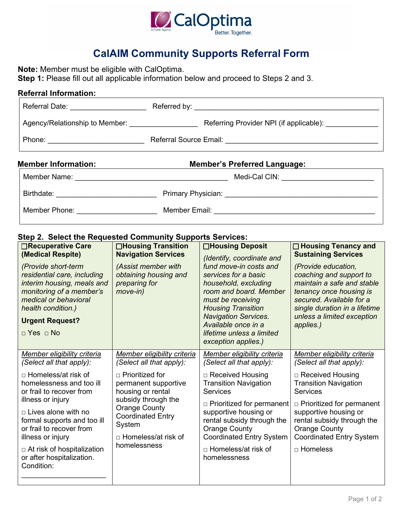

## **CalAIM Community Supports Referral Form**

**Note:** Member must be eligible with CalOptima.

**Step 1:** Please fill out all applicable information below and proceed to Steps 2 and 3.

| <b>Referral Information:</b>                 |                                              |  |  |  |
|----------------------------------------------|----------------------------------------------|--|--|--|
| Referral Date: _____________________         |                                              |  |  |  |
|                                              |                                              |  |  |  |
|                                              |                                              |  |  |  |
| <b>Member Information:</b>                   | <b>Member's Preferred Language:</b>          |  |  |  |
|                                              | Medi-Cal CIN: ________________________       |  |  |  |
| Birthdate: _________________________________ |                                              |  |  |  |
| Member Phone: ______________________         | Member Email: <u>_______________________</u> |  |  |  |

## **Step 2. Select the Requested Community Supports Services:**

| <b>□Recuperative Care</b><br>(Medical Respite)<br>(Provide short-term<br>residential care, including<br>interim housing, meals and<br>monitoring of a member's<br>medical or behavioral<br>health condition.)<br><b>Urgent Request?</b><br>$\Box$ Yes $\Box$ No                                    | $\Box$ Housing Transition<br><b>Navigation Services</b><br>(Assist member with<br>obtaining housing and<br>preparing for<br>$move-in)$                                                            | <b>□Housing Deposit</b><br>(Identify, coordinate and<br>fund move-in costs and<br>services for a basic<br>household, excluding<br>room and board. Member<br>must be receiving<br><b>Housing Transition</b><br><b>Navigation Services.</b><br>Available once in a<br>lifetime unless a limited<br>exception applies.) | $\Box$ Housing Tenancy and<br><b>Sustaining Services</b><br>(Provide education,<br>coaching and support to<br>maintain a safe and stable<br>tenancy once housing is<br>secured. Available for a<br>single duration in a lifetime<br>unless a limited exception<br>applies.) |
|----------------------------------------------------------------------------------------------------------------------------------------------------------------------------------------------------------------------------------------------------------------------------------------------------|---------------------------------------------------------------------------------------------------------------------------------------------------------------------------------------------------|----------------------------------------------------------------------------------------------------------------------------------------------------------------------------------------------------------------------------------------------------------------------------------------------------------------------|-----------------------------------------------------------------------------------------------------------------------------------------------------------------------------------------------------------------------------------------------------------------------------|
| Member eligibility criteria<br>(Select all that apply):                                                                                                                                                                                                                                            | Member eligibility criteria<br>(Select all that apply):                                                                                                                                           | Member eligibility criteria<br>(Select all that apply):                                                                                                                                                                                                                                                              | Member eligibility criteria<br>(Select all that apply):                                                                                                                                                                                                                     |
| □ Homeless/at risk of<br>homelessness and too ill<br>or frail to recover from<br>illness or injury<br>$\sqcap$ Lives alone with no<br>formal supports and too ill<br>or frail to recover from<br>illness or injury<br>$\Box$ At risk of hospitalization<br>or after hospitalization.<br>Condition: | $\Box$ Prioritized for<br>permanent supportive<br>housing or rental<br>subsidy through the<br><b>Orange County</b><br><b>Coordinated Entry</b><br>System<br>□ Homeless/at risk of<br>homelessness | □ Received Housing<br><b>Transition Navigation</b><br><b>Services</b><br>$\Box$ Prioritized for permanent<br>supportive housing or<br>rental subsidy through the<br><b>Orange County</b><br><b>Coordinated Entry System</b><br>□ Homeless/at risk of<br>homelessness                                                 | □ Received Housing<br><b>Transition Navigation</b><br><b>Services</b><br>$\Box$ Prioritized for permanent<br>supportive housing or<br>rental subsidy through the<br><b>Orange County</b><br><b>Coordinated Entry System</b><br>□ Homeless                                   |